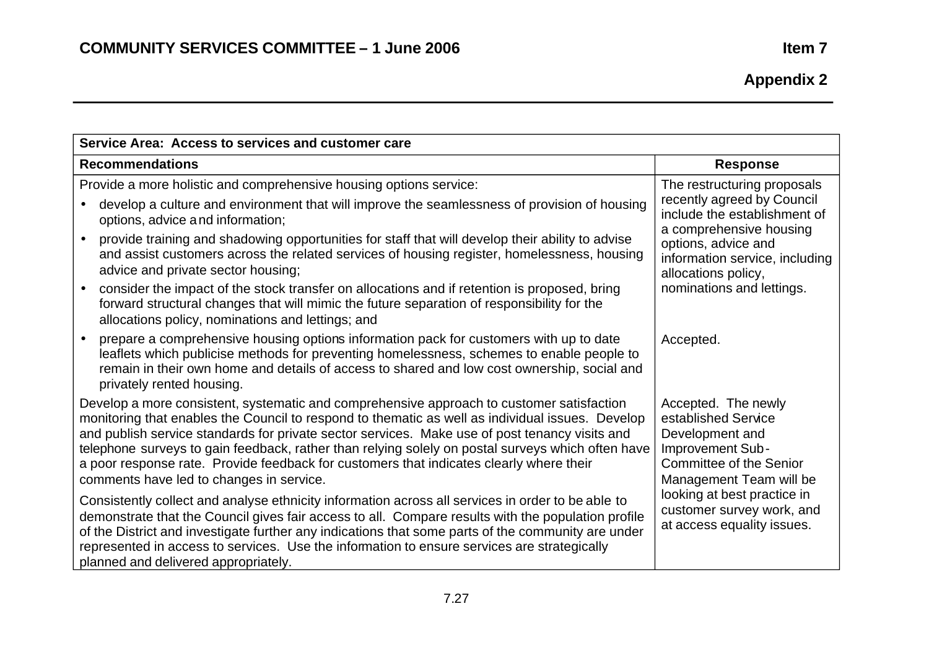| Service Area: Access to services and customer care |                                                                                                                                                                                                                                                                                                                                                                                                                                                                                                                                             |                                                                                                                                                |  |  |  |
|----------------------------------------------------|---------------------------------------------------------------------------------------------------------------------------------------------------------------------------------------------------------------------------------------------------------------------------------------------------------------------------------------------------------------------------------------------------------------------------------------------------------------------------------------------------------------------------------------------|------------------------------------------------------------------------------------------------------------------------------------------------|--|--|--|
|                                                    | <b>Recommendations</b>                                                                                                                                                                                                                                                                                                                                                                                                                                                                                                                      | <b>Response</b>                                                                                                                                |  |  |  |
|                                                    | Provide a more holistic and comprehensive housing options service:<br>develop a culture and environment that will improve the seamlessness of provision of housing<br>options, advice and information;                                                                                                                                                                                                                                                                                                                                      | The restructuring proposals<br>recently agreed by Council<br>include the establishment of                                                      |  |  |  |
|                                                    | provide training and shadowing opportunities for staff that will develop their ability to advise<br>and assist customers across the related services of housing register, homelessness, housing<br>advice and private sector housing;                                                                                                                                                                                                                                                                                                       | a comprehensive housing<br>options, advice and<br>information service, including<br>allocations policy,                                        |  |  |  |
|                                                    | consider the impact of the stock transfer on allocations and if retention is proposed, bring<br>forward structural changes that will mimic the future separation of responsibility for the<br>allocations policy, nominations and lettings; and                                                                                                                                                                                                                                                                                             | nominations and lettings.                                                                                                                      |  |  |  |
|                                                    | prepare a comprehensive housing options information pack for customers with up to date<br>leaflets which publicise methods for preventing homelessness, schemes to enable people to<br>remain in their own home and details of access to shared and low cost ownership, social and<br>privately rented housing.                                                                                                                                                                                                                             | Accepted.                                                                                                                                      |  |  |  |
|                                                    | Develop a more consistent, systematic and comprehensive approach to customer satisfaction<br>monitoring that enables the Council to respond to thematic as well as individual issues. Develop<br>and publish service standards for private sector services. Make use of post tenancy visits and<br>telephone surveys to gain feedback, rather than relying solely on postal surveys which often have<br>a poor response rate. Provide feedback for customers that indicates clearly where their<br>comments have led to changes in service. | Accepted. The newly<br>established Service<br>Development and<br>Improvement Sub-<br><b>Committee of the Senior</b><br>Management Team will be |  |  |  |
|                                                    | Consistently collect and analyse ethnicity information across all services in order to be able to<br>demonstrate that the Council gives fair access to all. Compare results with the population profile<br>of the District and investigate further any indications that some parts of the community are under<br>represented in access to services. Use the information to ensure services are strategically<br>planned and delivered appropriately.                                                                                        | looking at best practice in<br>customer survey work, and<br>at access equality issues.                                                         |  |  |  |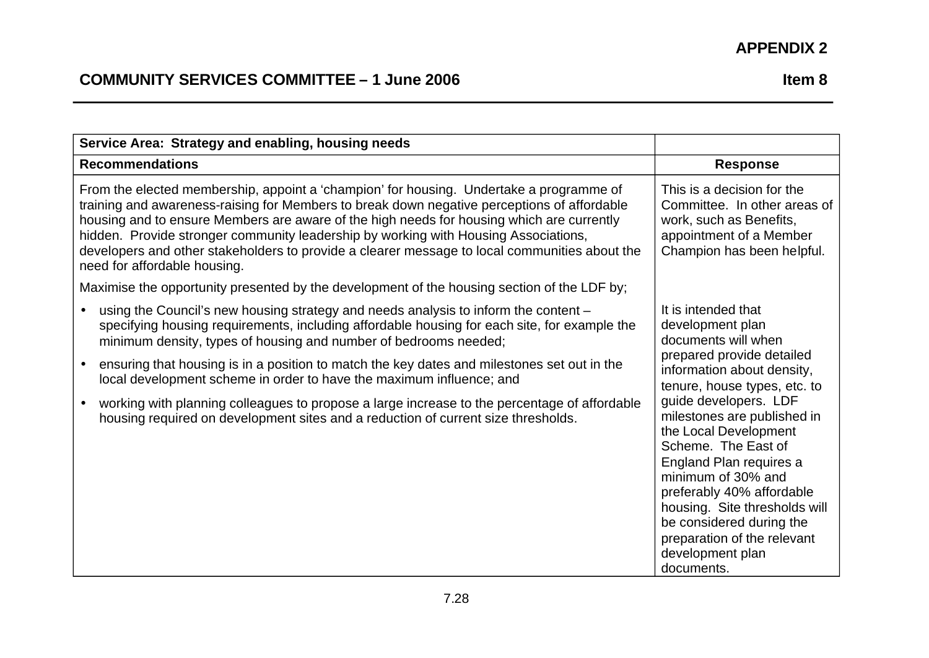| Service Area: Strategy and enabling, housing needs                                                                                                                                                                                                                                                                                                                                                                                                                                                                                                                                                                  |                                                                                                                                                                                                                                                                                                                                                                                                                                                                               |  |  |
|---------------------------------------------------------------------------------------------------------------------------------------------------------------------------------------------------------------------------------------------------------------------------------------------------------------------------------------------------------------------------------------------------------------------------------------------------------------------------------------------------------------------------------------------------------------------------------------------------------------------|-------------------------------------------------------------------------------------------------------------------------------------------------------------------------------------------------------------------------------------------------------------------------------------------------------------------------------------------------------------------------------------------------------------------------------------------------------------------------------|--|--|
| <b>Recommendations</b>                                                                                                                                                                                                                                                                                                                                                                                                                                                                                                                                                                                              | <b>Response</b>                                                                                                                                                                                                                                                                                                                                                                                                                                                               |  |  |
| From the elected membership, appoint a 'champion' for housing. Undertake a programme of<br>training and awareness-raising for Members to break down negative perceptions of affordable<br>housing and to ensure Members are aware of the high needs for housing which are currently<br>hidden. Provide stronger community leadership by working with Housing Associations,<br>developers and other stakeholders to provide a clearer message to local communities about the<br>need for affordable housing.                                                                                                         | This is a decision for the<br>Committee. In other areas of<br>work, such as Benefits,<br>appointment of a Member<br>Champion has been helpful.                                                                                                                                                                                                                                                                                                                                |  |  |
| Maximise the opportunity presented by the development of the housing section of the LDF by;                                                                                                                                                                                                                                                                                                                                                                                                                                                                                                                         |                                                                                                                                                                                                                                                                                                                                                                                                                                                                               |  |  |
| using the Council's new housing strategy and needs analysis to inform the content -<br>specifying housing requirements, including affordable housing for each site, for example the<br>minimum density, types of housing and number of bedrooms needed;<br>ensuring that housing is in a position to match the key dates and milestones set out in the<br>local development scheme in order to have the maximum influence; and<br>working with planning colleagues to propose a large increase to the percentage of affordable<br>housing required on development sites and a reduction of current size thresholds. | It is intended that<br>development plan<br>documents will when<br>prepared provide detailed<br>information about density,<br>tenure, house types, etc. to<br>guide developers. LDF<br>milestones are published in<br>the Local Development<br>Scheme. The East of<br>England Plan requires a<br>minimum of 30% and<br>preferably 40% affordable<br>housing. Site thresholds will<br>be considered during the<br>preparation of the relevant<br>development plan<br>documents. |  |  |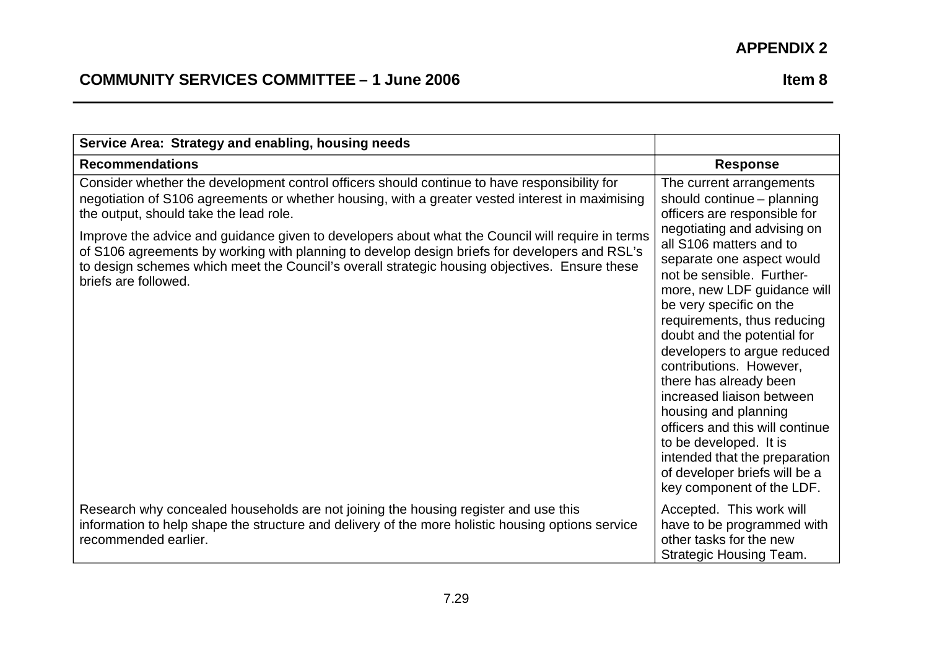| Service Area: Strategy and enabling, housing needs                                                                                                                                                                                                                                                                                            |                                                                                                                                                                                                                                                                                                                                                                 |
|-----------------------------------------------------------------------------------------------------------------------------------------------------------------------------------------------------------------------------------------------------------------------------------------------------------------------------------------------|-----------------------------------------------------------------------------------------------------------------------------------------------------------------------------------------------------------------------------------------------------------------------------------------------------------------------------------------------------------------|
| <b>Recommendations</b>                                                                                                                                                                                                                                                                                                                        | <b>Response</b>                                                                                                                                                                                                                                                                                                                                                 |
| Consider whether the development control officers should continue to have responsibility for<br>negotiation of S106 agreements or whether housing, with a greater vested interest in maximising<br>the output, should take the lead role.<br>Improve the advice and guidance given to developers about what the Council will require in terms | The current arrangements<br>should continue - planning<br>officers are responsible for<br>negotiating and advising on                                                                                                                                                                                                                                           |
| of S106 agreements by working with planning to develop design briefs for developers and RSL's<br>to design schemes which meet the Council's overall strategic housing objectives. Ensure these<br>briefs are followed.                                                                                                                        | all S106 matters and to<br>separate one aspect would<br>not be sensible. Further-<br>more, new LDF guidance will<br>be very specific on the                                                                                                                                                                                                                     |
|                                                                                                                                                                                                                                                                                                                                               | requirements, thus reducing<br>doubt and the potential for<br>developers to argue reduced<br>contributions. However,<br>there has already been<br>increased liaison between<br>housing and planning<br>officers and this will continue<br>to be developed. It is<br>intended that the preparation<br>of developer briefs will be a<br>key component of the LDF. |
| Research why concealed households are not joining the housing register and use this<br>information to help shape the structure and delivery of the more holistic housing options service<br>recommended earlier.                                                                                                                              | Accepted. This work will<br>have to be programmed with<br>other tasks for the new<br><b>Strategic Housing Team.</b>                                                                                                                                                                                                                                             |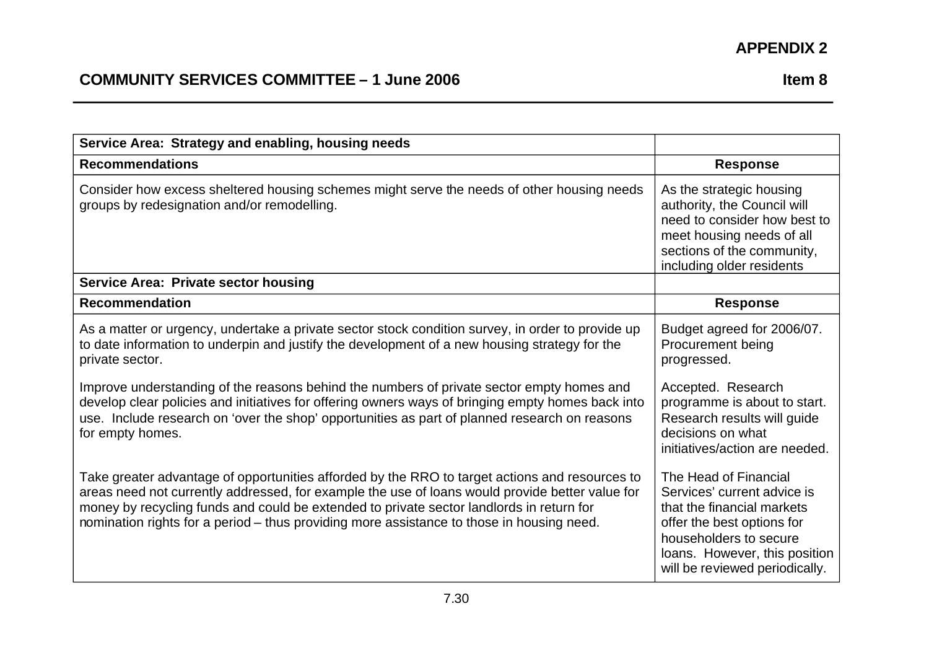| Service Area: Strategy and enabling, housing needs                                                                                                                                                                                                                                                                                                                                         |                                                                                                                                                                                                               |  |
|--------------------------------------------------------------------------------------------------------------------------------------------------------------------------------------------------------------------------------------------------------------------------------------------------------------------------------------------------------------------------------------------|---------------------------------------------------------------------------------------------------------------------------------------------------------------------------------------------------------------|--|
| <b>Recommendations</b>                                                                                                                                                                                                                                                                                                                                                                     | <b>Response</b>                                                                                                                                                                                               |  |
| Consider how excess sheltered housing schemes might serve the needs of other housing needs<br>groups by redesignation and/or remodelling.                                                                                                                                                                                                                                                  | As the strategic housing<br>authority, the Council will<br>need to consider how best to<br>meet housing needs of all<br>sections of the community,<br>including older residents                               |  |
| <b>Service Area: Private sector housing</b>                                                                                                                                                                                                                                                                                                                                                |                                                                                                                                                                                                               |  |
| <b>Recommendation</b>                                                                                                                                                                                                                                                                                                                                                                      | <b>Response</b>                                                                                                                                                                                               |  |
| As a matter or urgency, undertake a private sector stock condition survey, in order to provide up<br>to date information to underpin and justify the development of a new housing strategy for the<br>private sector.                                                                                                                                                                      | Budget agreed for 2006/07.<br>Procurement being<br>progressed.                                                                                                                                                |  |
| Improve understanding of the reasons behind the numbers of private sector empty homes and<br>develop clear policies and initiatives for offering owners ways of bringing empty homes back into<br>use. Include research on 'over the shop' opportunities as part of planned research on reasons<br>for empty homes.                                                                        | Accepted. Research<br>programme is about to start.<br>Research results will guide<br>decisions on what<br>initiatives/action are needed.                                                                      |  |
| Take greater advantage of opportunities afforded by the RRO to target actions and resources to<br>areas need not currently addressed, for example the use of loans would provide better value for<br>money by recycling funds and could be extended to private sector landlords in return for<br>nomination rights for a period – thus providing more assistance to those in housing need. | The Head of Financial<br>Services' current advice is<br>that the financial markets<br>offer the best options for<br>householders to secure<br>loans. However, this position<br>will be reviewed periodically. |  |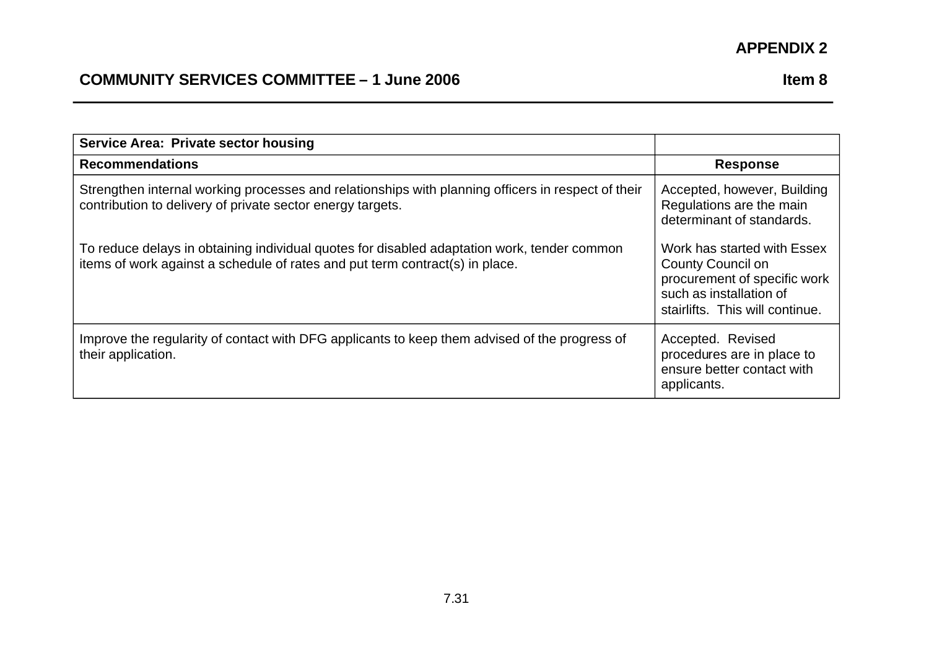| <b>Service Area: Private sector housing</b>                                                                                                                                 |                                                                                                                                                       |  |  |
|-----------------------------------------------------------------------------------------------------------------------------------------------------------------------------|-------------------------------------------------------------------------------------------------------------------------------------------------------|--|--|
| <b>Recommendations</b>                                                                                                                                                      | <b>Response</b>                                                                                                                                       |  |  |
| Strengthen internal working processes and relationships with planning officers in respect of their<br>contribution to delivery of private sector energy targets.            | Accepted, however, Building<br>Regulations are the main<br>determinant of standards.                                                                  |  |  |
| To reduce delays in obtaining individual quotes for disabled adaptation work, tender common<br>items of work against a schedule of rates and put term contract(s) in place. | Work has started with Essex<br><b>County Council on</b><br>procurement of specific work<br>such as installation of<br>stairlifts. This will continue. |  |  |
| Improve the regularity of contact with DFG applicants to keep them advised of the progress of<br>their application.                                                         | Accepted. Revised<br>procedures are in place to<br>ensure better contact with<br>applicants.                                                          |  |  |